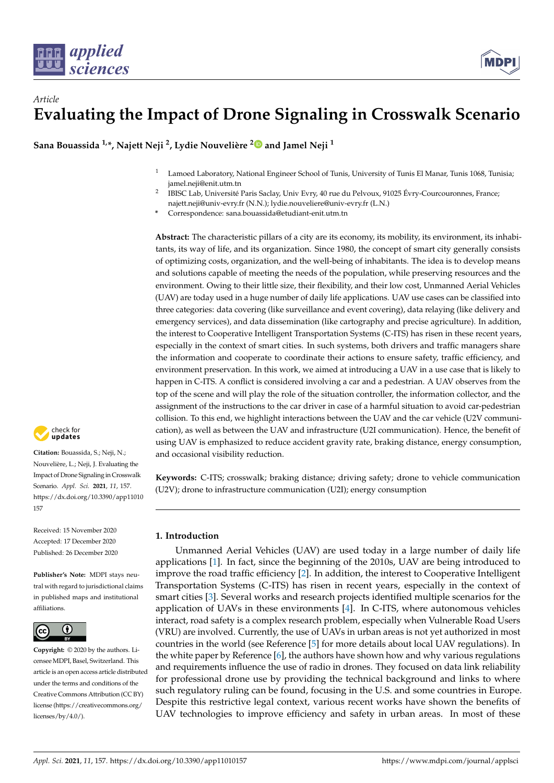

# *Article* **Evaluating the Impact of Drone Signaling in Crosswalk Scenario**

**Sana Bouassida 1,\*, Najett Neji <sup>2</sup> , Lydie Nouvelière [2](https://orcid.org/0000-0003-0027-7192) and Jamel Neji <sup>1</sup>**

- <sup>1</sup> Lamoed Laboratory, National Engineer School of Tunis, University of Tunis El Manar, Tunis 1068, Tunisia; jamel.neji@enit.utm.tn
- 2 IBISC Lab, Université Paris Saclay, Univ Evry, 40 rue du Pelvoux, 91025 Évry-Courcouronnes, France; najett.neji@univ-evry.fr (N.N.); lydie.nouveliere@univ-evry.fr (L.N.)

**\*** Correspondence: sana.bouassida@etudiant-enit.utm.tn

**Abstract:** The characteristic pillars of a city are its economy, its mobility, its environment, its inhabitants, its way of life, and its organization. Since 1980, the concept of smart city generally consists of optimizing costs, organization, and the well-being of inhabitants. The idea is to develop means and solutions capable of meeting the needs of the population, while preserving resources and the environment. Owing to their little size, their flexibility, and their low cost, Unmanned Aerial Vehicles (UAV) are today used in a huge number of daily life applications. UAV use cases can be classified into three categories: data covering (like surveillance and event covering), data relaying (like delivery and emergency services), and data dissemination (like cartography and precise agriculture). In addition, the interest to Cooperative Intelligent Transportation Systems (C-ITS) has risen in these recent years, especially in the context of smart cities. In such systems, both drivers and traffic managers share the information and cooperate to coordinate their actions to ensure safety, traffic efficiency, and environment preservation. In this work, we aimed at introducing a UAV in a use case that is likely to happen in C-ITS. A conflict is considered involving a car and a pedestrian. A UAV observes from the top of the scene and will play the role of the situation controller, the information collector, and the assignment of the instructions to the car driver in case of a harmful situation to avoid car-pedestrian collision. To this end, we highlight interactions between the UAV and the car vehicle (U2V communication), as well as between the UAV and infrastructure (U2I communication). Hence, the benefit of using UAV is emphasized to reduce accident gravity rate, braking distance, energy consumption, and occasional visibility reduction.

**Keywords:** C-ITS; crosswalk; braking distance; driving safety; drone to vehicle communication (U2V); drone to infrastructure communication (U2I); energy consumption

# **1. Introduction**

Unmanned Aerial Vehicles (UAV) are used today in a large number of daily life applications [\[1\]](#page-18-0). In fact, since the beginning of the 2010s, UAV are being introduced to improve the road traffic efficiency [\[2\]](#page-18-1). In addition, the interest to Cooperative Intelligent Transportation Systems (C-ITS) has risen in recent years, especially in the context of smart cities [\[3\]](#page-18-2). Several works and research projects identified multiple scenarios for the application of UAVs in these environments [\[4\]](#page-18-3). In C-ITS, where autonomous vehicles interact, road safety is a complex research problem, especially when Vulnerable Road Users (VRU) are involved. Currently, the use of UAVs in urban areas is not yet authorized in most countries in the world (see Reference [\[5\]](#page-18-4) for more details about local UAV regulations). In the white paper by Reference [\[6\]](#page-18-5), the authors have shown how and why various regulations and requirements influence the use of radio in drones. They focused on data link reliability for professional drone use by providing the technical background and links to where such regulatory ruling can be found, focusing in the U.S. and some countries in Europe. Despite this restrictive legal context, various recent works have shown the benefits of UAV technologies to improve efficiency and safety in urban areas. In most of these



**Citation:** Bouassida, S.; Neji, N.; Nouvelière, L.; Neji, J. Evaluating the Impact of Drone Signaling in Crosswalk Scenario. *Appl. Sci.* **2021**, *11*, 157. [https://dx.doi.org/10.3390/app11010](https://dx.doi.org/10.3390/app11010157) [157](https://dx.doi.org/10.3390/app11010157)

Received: 15 November 2020 Accepted: 17 December 2020 Published: 26 December 2020

**Publisher's Note:** MDPI stays neutral with regard to jurisdictional claims in published maps and institutional affiliations.



**Copyright:** © 2020 by the authors. Licensee MDPI, Basel, Switzerland. This article is an open access article distributed under the terms and conditions of the Creative Commons Attribution (CC BY) license [\(https://creativecommons.org/](https://creativecommons.org/licenses/by/4.0/) [licenses/by/4.0/\)](https://creativecommons.org/licenses/by/4.0/).

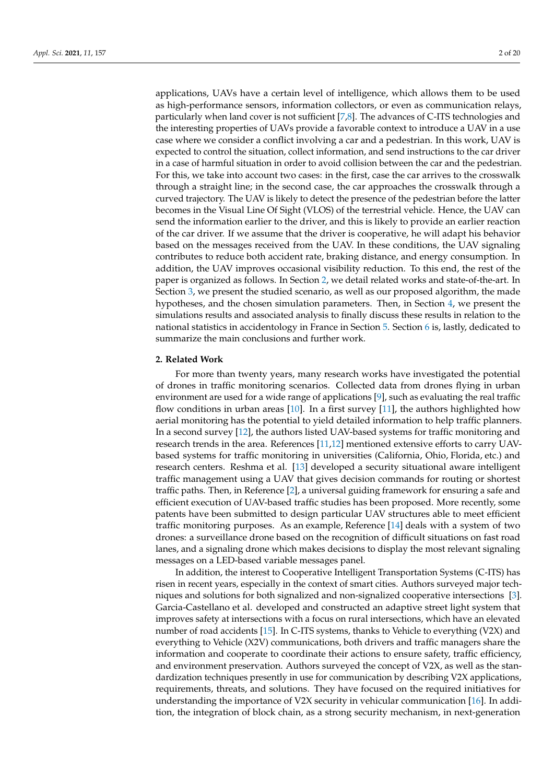applications, UAVs have a certain level of intelligence, which allows them to be used as high-performance sensors, information collectors, or even as communication relays, particularly when land cover is not sufficient [\[7](#page-18-6)[,8\]](#page-18-7). The advances of C-ITS technologies and the interesting properties of UAVs provide a favorable context to introduce a UAV in a use case where we consider a conflict involving a car and a pedestrian. In this work, UAV is expected to control the situation, collect information, and send instructions to the car driver in a case of harmful situation in order to avoid collision between the car and the pedestrian. For this, we take into account two cases: in the first, case the car arrives to the crosswalk through a straight line; in the second case, the car approaches the crosswalk through a curved trajectory. The UAV is likely to detect the presence of the pedestrian before the latter becomes in the Visual Line Of Sight (VLOS) of the terrestrial vehicle. Hence, the UAV can send the information earlier to the driver, and this is likely to provide an earlier reaction of the car driver. If we assume that the driver is cooperative, he will adapt his behavior based on the messages received from the UAV. In these conditions, the UAV signaling contributes to reduce both accident rate, braking distance, and energy consumption. In addition, the UAV improves occasional visibility reduction. To this end, the rest of the paper is organized as follows. In Section [2,](#page-1-0) we detail related works and state-of-the-art. In Section [3,](#page-3-0) we present the studied scenario, as well as our proposed algorithm, the made hypotheses, and the chosen simulation parameters. Then, in Section [4,](#page-10-0) we present the simulations results and associated analysis to finally discuss these results in relation to the national statistics in accidentology in France in Section [5.](#page-16-0) Section [6](#page-17-0) is, lastly, dedicated to summarize the main conclusions and further work.

## <span id="page-1-0"></span>**2. Related Work**

For more than twenty years, many research works have investigated the potential of drones in traffic monitoring scenarios. Collected data from drones flying in urban environment are used for a wide range of applications [\[9\]](#page-18-8), such as evaluating the real traffic flow conditions in urban areas [\[10\]](#page-18-9). In a first survey [\[11\]](#page-18-10), the authors highlighted how aerial monitoring has the potential to yield detailed information to help traffic planners. In a second survey [\[12\]](#page-18-11), the authors listed UAV-based systems for traffic monitoring and research trends in the area. References [\[11](#page-18-10)[,12\]](#page-18-11) mentioned extensive efforts to carry UAVbased systems for traffic monitoring in universities (California, Ohio, Florida, etc.) and research centers. Reshma et al. [\[13\]](#page-18-12) developed a security situational aware intelligent traffic management using a UAV that gives decision commands for routing or shortest traffic paths. Then, in Reference [\[2\]](#page-18-1), a universal guiding framework for ensuring a safe and efficient execution of UAV-based traffic studies has been proposed. More recently, some patents have been submitted to design particular UAV structures able to meet efficient traffic monitoring purposes. As an example, Reference [\[14\]](#page-18-13) deals with a system of two drones: a surveillance drone based on the recognition of difficult situations on fast road lanes, and a signaling drone which makes decisions to display the most relevant signaling messages on a LED-based variable messages panel.

In addition, the interest to Cooperative Intelligent Transportation Systems (C-ITS) has risen in recent years, especially in the context of smart cities. Authors surveyed major techniques and solutions for both signalized and non-signalized cooperative intersections [\[3\]](#page-18-2). Garcia-Castellano et al. developed and constructed an adaptive street light system that improves safety at intersections with a focus on rural intersections, which have an elevated number of road accidents [\[15\]](#page-18-14). In C-ITS systems, thanks to Vehicle to everything (V2X) and everything to Vehicle (X2V) communications, both drivers and traffic managers share the information and cooperate to coordinate their actions to ensure safety, traffic efficiency, and environment preservation. Authors surveyed the concept of V2X, as well as the standardization techniques presently in use for communication by describing V2X applications, requirements, threats, and solutions. They have focused on the required initiatives for understanding the importance of V2X security in vehicular communication [\[16\]](#page-18-15). In addition, the integration of block chain, as a strong security mechanism, in next-generation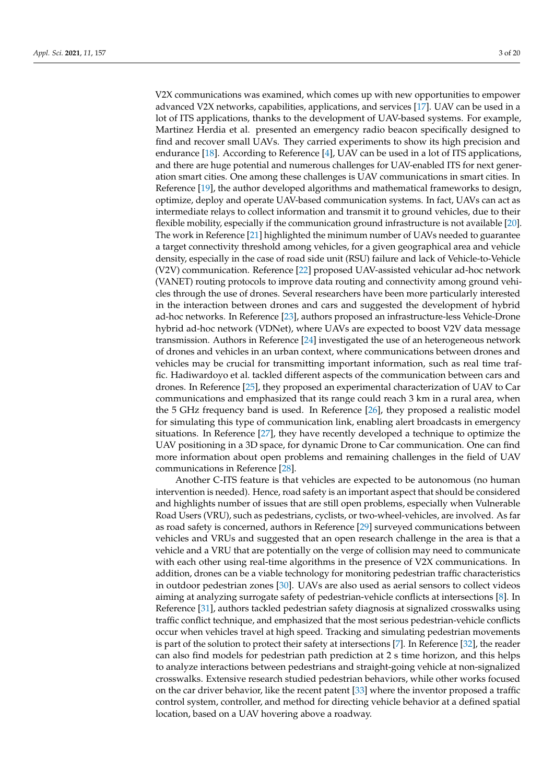V2X communications was examined, which comes up with new opportunities to empower advanced V2X networks, capabilities, applications, and services [\[17\]](#page-18-16). UAV can be used in a lot of ITS applications, thanks to the development of UAV-based systems. For example, Martinez Herdia et al. presented an emergency radio beacon specifically designed to find and recover small UAVs. They carried experiments to show its high precision and endurance [\[18\]](#page-18-17). According to Reference [\[4\]](#page-18-3), UAV can be used in a lot of ITS applications, and there are huge potential and numerous challenges for UAV-enabled ITS for next generation smart cities. One among these challenges is UAV communications in smart cities. In Reference [\[19\]](#page-18-18), the author developed algorithms and mathematical frameworks to design, optimize, deploy and operate UAV-based communication systems. In fact, UAVs can act as intermediate relays to collect information and transmit it to ground vehicles, due to their flexible mobility, especially if the communication ground infrastructure is not available [\[20\]](#page-18-19). The work in Reference [\[21\]](#page-18-20) highlighted the minimum number of UAVs needed to guarantee a target connectivity threshold among vehicles, for a given geographical area and vehicle density, especially in the case of road side unit (RSU) failure and lack of Vehicle-to-Vehicle (V2V) communication. Reference [\[22\]](#page-18-21) proposed UAV-assisted vehicular ad-hoc network (VANET) routing protocols to improve data routing and connectivity among ground vehicles through the use of drones. Several researchers have been more particularly interested in the interaction between drones and cars and suggested the development of hybrid ad-hoc networks. In Reference [\[23\]](#page-18-22), authors proposed an infrastructure-less Vehicle-Drone hybrid ad-hoc network (VDNet), where UAVs are expected to boost V2V data message transmission. Authors in Reference [\[24\]](#page-18-23) investigated the use of an heterogeneous network of drones and vehicles in an urban context, where communications between drones and vehicles may be crucial for transmitting important information, such as real time traffic. Hadiwardoyo et al. tackled different aspects of the communication between cars and drones. In Reference [\[25\]](#page-18-24), they proposed an experimental characterization of UAV to Car communications and emphasized that its range could reach 3 km in a rural area, when the 5 GHz frequency band is used. In Reference [\[26\]](#page-18-25), they proposed a realistic model for simulating this type of communication link, enabling alert broadcasts in emergency situations. In Reference [\[27\]](#page-19-0), they have recently developed a technique to optimize the UAV positioning in a 3D space, for dynamic Drone to Car communication. One can find more information about open problems and remaining challenges in the field of UAV communications in Reference [\[28\]](#page-19-1).

Another C-ITS feature is that vehicles are expected to be autonomous (no human intervention is needed). Hence, road safety is an important aspect that should be considered and highlights number of issues that are still open problems, especially when Vulnerable Road Users (VRU), such as pedestrians, cyclists, or two-wheel-vehicles, are involved. As far as road safety is concerned, authors in Reference [\[29\]](#page-19-2) surveyed communications between vehicles and VRUs and suggested that an open research challenge in the area is that a vehicle and a VRU that are potentially on the verge of collision may need to communicate with each other using real-time algorithms in the presence of V2X communications. In addition, drones can be a viable technology for monitoring pedestrian traffic characteristics in outdoor pedestrian zones [\[30\]](#page-19-3). UAVs are also used as aerial sensors to collect videos aiming at analyzing surrogate safety of pedestrian-vehicle conflicts at intersections [\[8\]](#page-18-7). In Reference [\[31\]](#page-19-4), authors tackled pedestrian safety diagnosis at signalized crosswalks using traffic conflict technique, and emphasized that the most serious pedestrian-vehicle conflicts occur when vehicles travel at high speed. Tracking and simulating pedestrian movements is part of the solution to protect their safety at intersections [\[7\]](#page-18-6). In Reference [\[32\]](#page-19-5), the reader can also find models for pedestrian path prediction at 2 s time horizon, and this helps to analyze interactions between pedestrians and straight-going vehicle at non-signalized crosswalks. Extensive research studied pedestrian behaviors, while other works focused on the car driver behavior, like the recent patent [\[33\]](#page-19-6) where the inventor proposed a traffic control system, controller, and method for directing vehicle behavior at a defined spatial location, based on a UAV hovering above a roadway.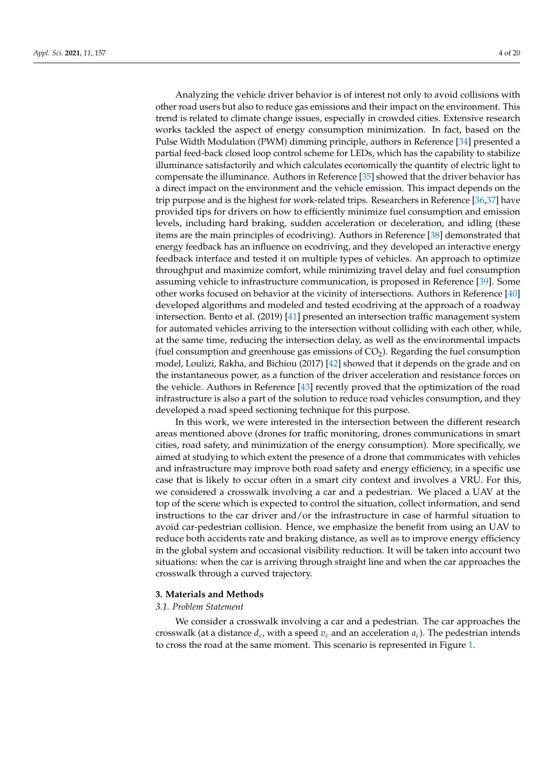Analyzing the vehicle driver behavior is of interest not only to avoid collisions with other road users but also to reduce gas emissions and their impact on the environment. This trend is related to climate change issues, especially in crowded cities. Extensive research works tackled the aspect of energy consumption minimization. In fact, based on the Pulse Width Modulation (PWM) dimming principle, authors in Reference [\[34\]](#page-19-7) presented a partial feed-back closed loop control scheme for LEDs, which has the capability to stabilize illuminance satisfactorily and which calculates economically the quantity of electric light to compensate the illuminance. Authors in Reference [\[35\]](#page-19-8) showed that the driver behavior has a direct impact on the environment and the vehicle emission. This impact depends on the trip purpose and is the highest for work-related trips. Researchers in Reference [\[36,](#page-19-9)[37\]](#page-19-10) have provided tips for drivers on how to efficiently minimize fuel consumption and emission levels, including hard braking, sudden acceleration or deceleration, and idling (these items are the main principles of ecodriving). Authors in Reference [\[38\]](#page-19-11) demonstrated that energy feedback has an influence on ecodriving, and they developed an interactive energy feedback interface and tested it on multiple types of vehicles. An approach to optimize throughput and maximize comfort, while minimizing travel delay and fuel consumption assuming vehicle to infrastructure communication, is proposed in Reference [\[39\]](#page-19-12). Some other works focused on behavior at the vicinity of intersections. Authors in Reference [\[40\]](#page-19-13) developed algorithms and modeled and tested ecodriving at the approach of a roadway intersection. Bento et al. (2019) [\[41\]](#page-19-14) presented an intersection traffic management system for automated vehicles arriving to the intersection without colliding with each other, while, at the same time, reducing the intersection delay, as well as the environmental impacts (fuel consumption and greenhouse gas emissions of  $CO<sub>2</sub>$ ). Regarding the fuel consumption model, Loulizi, Rakha, and Bichiou (2017) [\[42\]](#page-19-15) showed that it depends on the grade and on the instantaneous power, as a function of the driver acceleration and resistance forces on the vehicle. Authors in Reference [\[43\]](#page-19-16) recently proved that the optimization of the road infrastructure is also a part of the solution to reduce road vehicles consumption, and they developed a road speed sectioning technique for this purpose.

In this work, we were interested in the intersection between the different research areas mentioned above (drones for traffic monitoring, drones communications in smart cities, road safety, and minimization of the energy consumption). More specifically, we aimed at studying to which extent the presence of a drone that communicates with vehicles and infrastructure may improve both road safety and energy efficiency, in a specific use case that is likely to occur often in a smart city context and involves a VRU. For this, we considered a crosswalk involving a car and a pedestrian. We placed a UAV at the top of the scene which is expected to control the situation, collect information, and send instructions to the car driver and/or the infrastructure in case of harmful situation to avoid car-pedestrian collision. Hence, we emphasize the benefit from using an UAV to reduce both accidents rate and braking distance, as well as to improve energy efficiency in the global system and occasional visibility reduction. It will be taken into account two situations: when the car is arriving through straight line and when the car approaches the crosswalk through a curved trajectory.

#### <span id="page-3-0"></span>**3. Materials and Methods**

#### *3.1. Problem Statement*

We consider a crosswalk involving a car and a pedestrian. The car approaches the crosswalk (at a distance  $d_c$ , with a speed  $v_c$  and an acceleration  $a_c$ ). The pedestrian intends to cross the road at the same moment. This scenario is represented in Figure [1.](#page-4-0)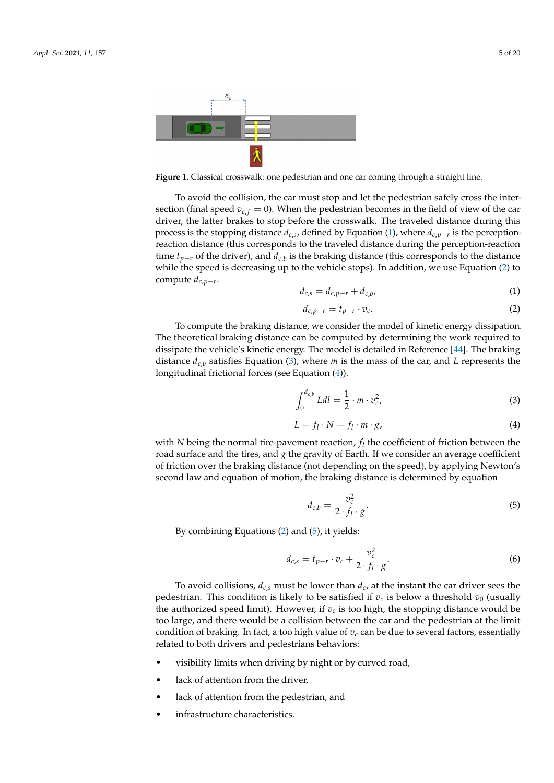<span id="page-4-0"></span>

**Figure 1.** Classical crosswalk: one pedestrian and one car coming through a straight line.

To avoid the collision, the car must stop and let the pedestrian safely cross the intersection (final speed  $v_{c,f} = 0$ ). When the pedestrian becomes in the field of view of the car driver, the latter brakes to stop before the crosswalk. The traveled distance during this process is the stopping distance *dc*,*<sup>s</sup>* , defined by Equation [\(1\)](#page-4-1), where *dc*,*p*−*<sup>r</sup>* is the perceptionreaction distance (this corresponds to the traveled distance during the perception-reaction time *tp*−*<sup>r</sup>* of the driver), and *dc*,*<sup>b</sup>* is the braking distance (this corresponds to the distance while the speed is decreasing up to the vehicle stops). In addition, we use Equation [\(2\)](#page-4-2) to compute *dc*,*p*−*<sup>r</sup>* .

<span id="page-4-1"></span>
$$
d_{c,s} = d_{c,p-r} + d_{c,b}, \tag{1}
$$

<span id="page-4-2"></span>
$$
d_{c,p-r} = t_{p-r} \cdot v_c. \tag{2}
$$

To compute the braking distance, we consider the model of kinetic energy dissipation. The theoretical braking distance can be computed by determining the work required to dissipate the vehicle's kinetic energy. The model is detailed in Reference [\[44\]](#page-19-17). The braking distance  $d_{c,b}$  satisfies Equation [\(3\)](#page-4-3), where *m* is the mass of the car, and *L* represents the longitudinal frictional forces (see Equation [\(4\)](#page-4-4)).

<span id="page-4-3"></span>
$$
\int_0^{d_{c,b}} L dl = \frac{1}{2} \cdot m \cdot v_c^2,\tag{3}
$$

<span id="page-4-4"></span>
$$
L = f_l \cdot N = f_l \cdot m \cdot g,\tag{4}
$$

with  $N$  being the normal tire-pavement reaction,  $f_l$  the coefficient of friction between the road surface and the tires, and *g* the gravity of Earth. If we consider an average coefficient of friction over the braking distance (not depending on the speed), by applying Newton's second law and equation of motion, the braking distance is determined by equation

<span id="page-4-5"></span>
$$
d_{c,b} = \frac{v_c^2}{2 \cdot f_l \cdot g}.\tag{5}
$$

By combining Equations [\(2\)](#page-4-2) and [\(5\)](#page-4-5), it yields:

<span id="page-4-6"></span>
$$
d_{c,s} = t_{p-r} \cdot v_c + \frac{v_c^2}{2 \cdot f_l \cdot g}.\tag{6}
$$

To avoid collisions,  $d_{c,s}$  must be lower than  $d_c$ , at the instant the car driver sees the pedestrian. This condition is likely to be satisfied if  $v_c$  is below a threshold  $v_0$  (usually the authorized speed limit). However, if  $v_c$  is too high, the stopping distance would be too large, and there would be a collision between the car and the pedestrian at the limit condition of braking. In fact, a too high value of  $v_c$  can be due to several factors, essentially related to both drivers and pedestrians behaviors:

- visibility limits when driving by night or by curved road,
- lack of attention from the driver,
- lack of attention from the pedestrian, and
- infrastructure characteristics.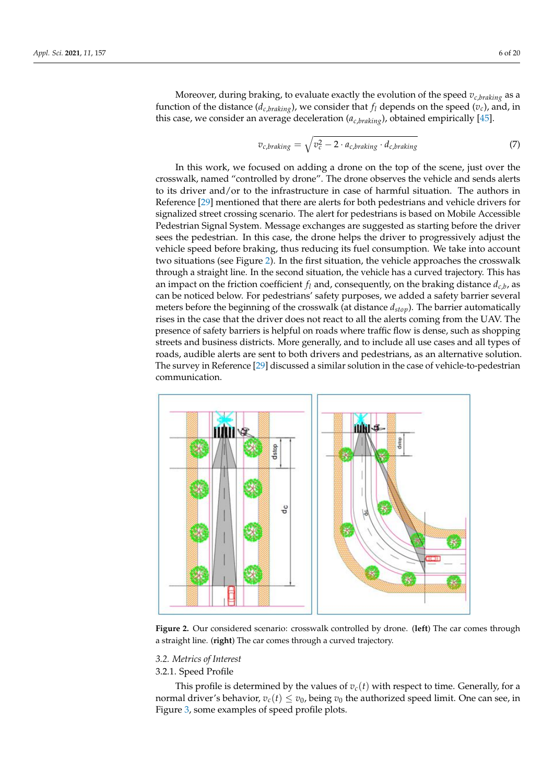Moreover, during braking, to evaluate exactly the evolution of the speed *vc*,*braking* as a function of the distance ( $d_{c,braking}$ ), we consider that  $f_l$  depends on the speed ( $v_c$ ), and, in this case, we consider an average deceleration (*ac*,*braking*), obtained empirically [\[45\]](#page-19-18).

$$
v_{c,braking} = \sqrt{v_c^2 - 2 \cdot a_{c,braking} \cdot d_{c,braking}}
$$
 (7)

In this work, we focused on adding a drone on the top of the scene, just over the crosswalk, named "controlled by drone". The drone observes the vehicle and sends alerts to its driver and/or to the infrastructure in case of harmful situation. The authors in Reference [\[29\]](#page-19-2) mentioned that there are alerts for both pedestrians and vehicle drivers for signalized street crossing scenario. The alert for pedestrians is based on Mobile Accessible Pedestrian Signal System. Message exchanges are suggested as starting before the driver sees the pedestrian. In this case, the drone helps the driver to progressively adjust the vehicle speed before braking, thus reducing its fuel consumption. We take into account two situations (see Figure [2\)](#page-5-0). In the first situation, the vehicle approaches the crosswalk through a straight line. In the second situation, the vehicle has a curved trajectory. This has an impact on the friction coefficient  $f_l$  and, consequently, on the braking distance  $d_{c,b}$ , as can be noticed below. For pedestrians' safety purposes, we added a safety barrier several meters before the beginning of the crosswalk (at distance *dstop*). The barrier automatically rises in the case that the driver does not react to all the alerts coming from the UAV. The presence of safety barriers is helpful on roads where traffic flow is dense, such as shopping streets and business districts. More generally, and to include all use cases and all types of roads, audible alerts are sent to both drivers and pedestrians, as an alternative solution. The survey in Reference [\[29\]](#page-19-2) discussed a similar solution in the case of vehicle-to-pedestrian communication.

<span id="page-5-0"></span>

**Figure 2.** Our considered scenario: crosswalk controlled by drone. (**left**) The car comes through a straight line. (**right**) The car comes through a curved trajectory.

#### *3.2. Metrics of Interest*

## 3.2.1. Speed Profile

This profile is determined by the values of  $v_c(t)$  with respect to time. Generally, for a normal driver's behavior,  $v_c(t) \le v_0$ , being  $v_0$  the authorized speed limit. One can see, in Figure [3,](#page-6-0) some examples of speed profile plots.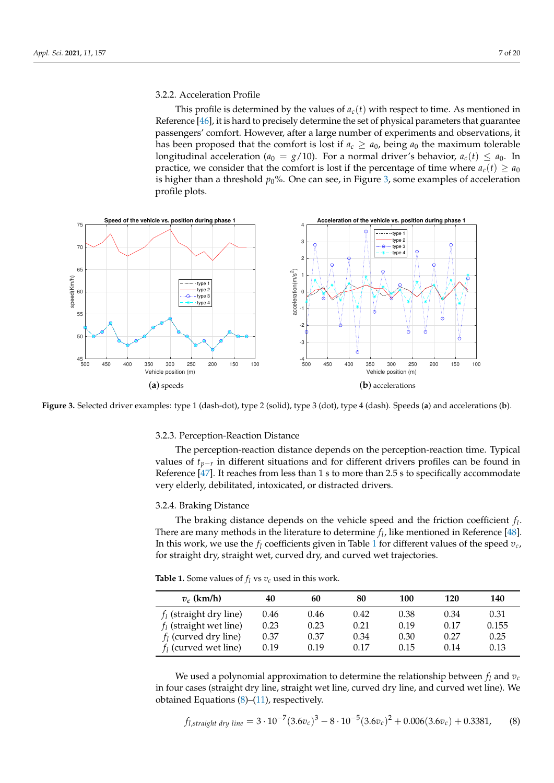## 3.2.2. Acceleration Profile

This profile is determined by the values of  $a_c(t)$  with respect to time. As mentioned in Reference [\[46\]](#page-19-19), it is hard to precisely determine the set of physical parameters that guarantee passengers' comfort. However, after a large number of experiments and observations, it has been proposed that the comfort is lost if  $a_c \ge a_0$ , being  $a_0$  the maximum tolerable longitudinal acceleration ( $a_0 = g/10$ ). For a normal driver's behavior,  $a_c(t) \le a_0$ . In practice, we consider that the comfort is lost if the percentage of time where  $a_c(t) \ge a_0$ is higher than a threshold  $p_0$ %. One can see, in Figure [3,](#page-6-0) some examples of acceleration profile plots.

<span id="page-6-0"></span>

**Figure 3.** Selected driver examples: type 1 (dash-dot), type 2 (solid), type 3 (dot), type 4 (dash). Speeds (**a**) and accelerations (**b**).

#### 3.2.3. Perception-Reaction Distance

The perception-reaction distance depends on the perception-reaction time. Typical values of *tp*−*<sup>r</sup>* in different situations and for different drivers profiles can be found in Reference [\[47\]](#page-19-20). It reaches from less than 1 s to more than 2.5 s to specifically accommodate very elderly, debilitated, intoxicated, or distracted drivers.

#### 3.2.4. Braking Distance

The braking distance depends on the vehicle speed and the friction coefficient *f l* . There are many methods in the literature to determine  $f_l$ , like mentioned in Reference [\[48\]](#page-19-21). In this work, we use the  $f_l$  coefficients given in Table [1](#page-6-1) for different values of the speed  $v_c$ , for straight dry, straight wet, curved dry, and curved wet trajectories.

| $v_c$ (km/h)              | 40   | 60   | 80   | 100  | 120  | 140   |
|---------------------------|------|------|------|------|------|-------|
| $f_l$ (straight dry line) | 0.46 | 0.46 | 0.42 | 0.38 | 0.34 | 0.31  |
| $f_l$ (straight wet line) | 0.23 | 0.23 | 0.21 | 0.19 | 0.17 | 0.155 |
| $f_l$ (curved dry line)   | 0.37 | 0.37 | 0.34 | 0.30 | 0.27 | 0.25  |
| $f_1$ (curved wet line)   | 0.19 | 0.19 | 0.17 | 0.15 | 0.14 | 0.13  |

<span id="page-6-1"></span>**Table 1.** Some values of  $f_l$  vs  $v_c$  used in this work.

We used a polynomial approximation to determine the relationship between  $f_l$  and  $v_c$ in four cases (straight dry line, straight wet line, curved dry line, and curved wet line). We obtained Equations  $(8)$ – $(11)$ , respectively.

<span id="page-6-2"></span>
$$
f_{l,straight\; dry\; line} = 3 \cdot 10^{-7} (3.6 v_c)^3 - 8 \cdot 10^{-5} (3.6 v_c)^2 + 0.006 (3.6 v_c) + 0.3381,
$$
 (8)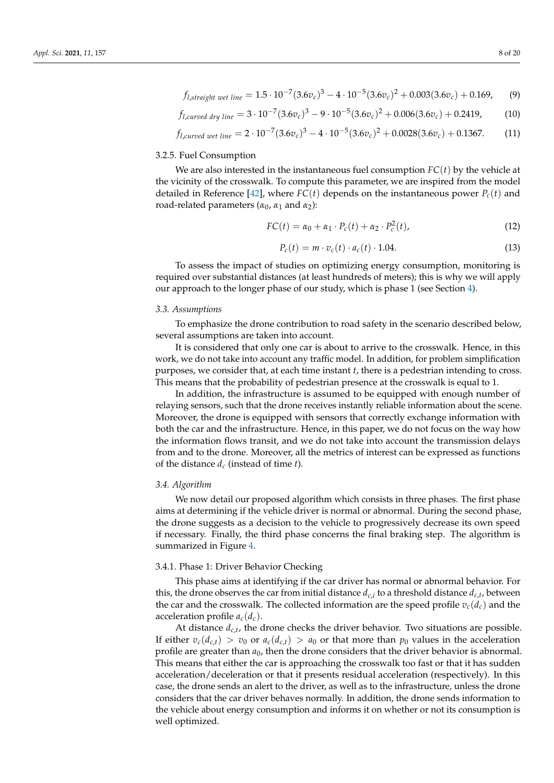$$
\mathcal{L}^{\text{max}}(\mathcal{L}^{\text{max}})
$$

<span id="page-7-1"></span>
$$
f_{l,straight\ wet\ line} = 1.5 \cdot 10^{-7} (3.6 v_c)^3 - 4 \cdot 10^{-5} (3.6 v_c)^2 + 0.003 (3.6 v_c) + 0.169,
$$
 (9)

<span id="page-7-2"></span>
$$
f_{l, curved\ dry\ line} = 3 \cdot 10^{-7} (3.6 v_c)^3 - 9 \cdot 10^{-5} (3.6 v_c)^2 + 0.006 (3.6 v_c) + 0.2419,
$$
 (10)

<span id="page-7-0"></span>
$$
f_{l,curved\ wet\ line} = 2 \cdot 10^{-7} (3.6 v_c)^3 - 4 \cdot 10^{-5} (3.6 v_c)^2 + 0.0028 (3.6 v_c) + 0.1367. \tag{11}
$$

#### 3.2.5. Fuel Consumption

We are also interested in the instantaneous fuel consumption  $FC(t)$  by the vehicle at the vicinity of the crosswalk. To compute this parameter, we are inspired from the model detailed in Reference [\[42\]](#page-19-15), where  $FC(t)$  depends on the instantaneous power  $P_c(t)$  and road-related parameters ( $α_0$ ,  $α_1$  and  $α_2$ ):

$$
FC(t) = \alpha_0 + \alpha_1 \cdot P_c(t) + \alpha_2 \cdot P_c^2(t), \qquad (12)
$$

$$
P_c(t) = m \cdot v_c(t) \cdot a_c(t) \cdot 1.04. \tag{13}
$$

To assess the impact of studies on optimizing energy consumption, monitoring is required over substantial distances (at least hundreds of meters); this is why we will apply our approach to the longer phase of our study, which is phase 1 (see Section [4\)](#page-8-0).

#### *3.3. Assumptions*

To emphasize the drone contribution to road safety in the scenario described below, several assumptions are taken into account.

It is considered that only one car is about to arrive to the crosswalk. Hence, in this work, we do not take into account any traffic model. In addition, for problem simplification purposes, we consider that, at each time instant *t*, there is a pedestrian intending to cross. This means that the probability of pedestrian presence at the crosswalk is equal to 1.

In addition, the infrastructure is assumed to be equipped with enough number of relaying sensors, such that the drone receives instantly reliable information about the scene. Moreover, the drone is equipped with sensors that correctly exchange information with both the car and the infrastructure. Hence, in this paper, we do not focus on the way how the information flows transit, and we do not take into account the transmission delays from and to the drone. Moreover, all the metrics of interest can be expressed as functions of the distance *d<sup>c</sup>* (instead of time *t*).

## *3.4. Algorithm*

We now detail our proposed algorithm which consists in three phases. The first phase aims at determining if the vehicle driver is normal or abnormal. During the second phase, the drone suggests as a decision to the vehicle to progressively decrease its own speed if necessary. Finally, the third phase concerns the final braking step. The algorithm is summarized in Figure [4.](#page-8-0)

### 3.4.1. Phase 1: Driver Behavior Checking

This phase aims at identifying if the car driver has normal or abnormal behavior. For this, the drone observes the car from initial distance  $d_{c,i}$  to a threshold distance  $d_{c,t}$ , between the car and the crosswalk. The collected information are the speed profile  $v_c(d_c)$  and the acceleration profile  $a_c(d_c)$ .

At distance  $d_{c,t}$ , the drone checks the driver behavior. Two situations are possible. If either  $v_c(d_{c,t}) > v_0$  or  $a_c(d_{c,t}) > a_0$  or that more than  $p_0$  values in the acceleration profile are greater than *a*0, then the drone considers that the driver behavior is abnormal. This means that either the car is approaching the crosswalk too fast or that it has sudden acceleration/deceleration or that it presents residual acceleration (respectively). In this case, the drone sends an alert to the driver, as well as to the infrastructure, unless the drone considers that the car driver behaves normally. In addition, the drone sends information to the vehicle about energy consumption and informs it on whether or not its consumption is well optimized.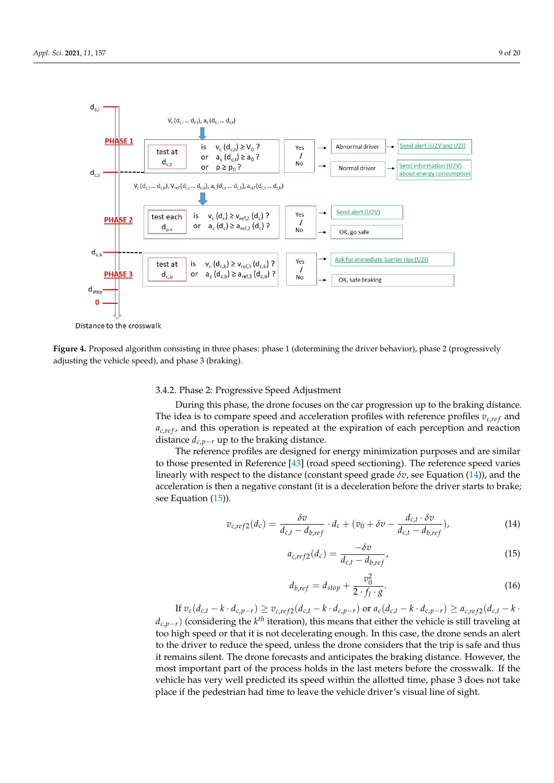<span id="page-8-0"></span>

Distance to the crosswalk

**Figure 4.** Proposed algorithm consisting in three phases: phase 1 (determining the driver behavior), phase 2 (progressively adjusting the vehicle speed), and phase 3 (braking).

## 3.4.2. Phase 2: Progressive Speed Adjustment

During this phase, the drone focuses on the car progression up to the braking distance. The idea is to compare speed and acceleration profiles with reference profiles  $v_{c,ref}$  and  $a_{c,ref}$ , and this operation is repeated at the expiration of each perception and reaction distance  $d_{c,p-r}$  up to the braking distance.

The reference profiles are designed for energy minimization purposes and are similar to those presented in Reference [\[43\]](#page-19-16) (road speed sectioning). The reference speed varies linearly with respect to the distance (constant speed grade  $\delta v$ , see Equation [\(14\)](#page-8-1)), and the acceleration is then a negative constant (it is a deceleration before the driver starts to brake; see Equation  $(15)$ ).

<span id="page-8-1"></span>
$$
v_{c,ref2}(d_c) = \frac{\delta v}{d_{c,t} - d_{b,ref}} \cdot d_c + (v_0 + \delta v - \frac{d_{c,t} \cdot \delta v}{d_{c,t} - d_{b,ref}}),
$$
(14)

<span id="page-8-2"></span>
$$
a_{c,ref2}(d_c) = \frac{-\delta v}{d_{c,t} - d_{b,ref}},
$$
\n(15)

$$
d_{b,ref} = d_{stop} + \frac{v_0^2}{2 \cdot f_l \cdot g}.
$$
\n(16)

If  $v_c(d_{c,t} - k \cdot d_{c,p-r}) \ge v_{c,ref2}(d_{c,t} - k \cdot d_{c,p-r})$  or  $a_c(d_{c,t} - k \cdot d_{c,p-r}) \ge a_{c,ref2}(d_{c,t} - k \cdot d_{c,p-r})$ *d*<sub>*c*,*p*−*r*</sub>) (considering the *k*<sup>th</sup> iteration), this means that either the vehicle is still traveling at too high speed or that it is not decelerating enough. In this case, the drone sends an alert to the driver to reduce the speed, unless the drone considers that the trip is safe and thus it remains silent. The drone forecasts and anticipates the braking distance. However, the most important part of the process holds in the last meters before the crosswalk. If the vehicle has very well predicted its speed within the allotted time, phase 3 does not take place if the pedestrian had time to leave the vehicle driver's visual line of sight.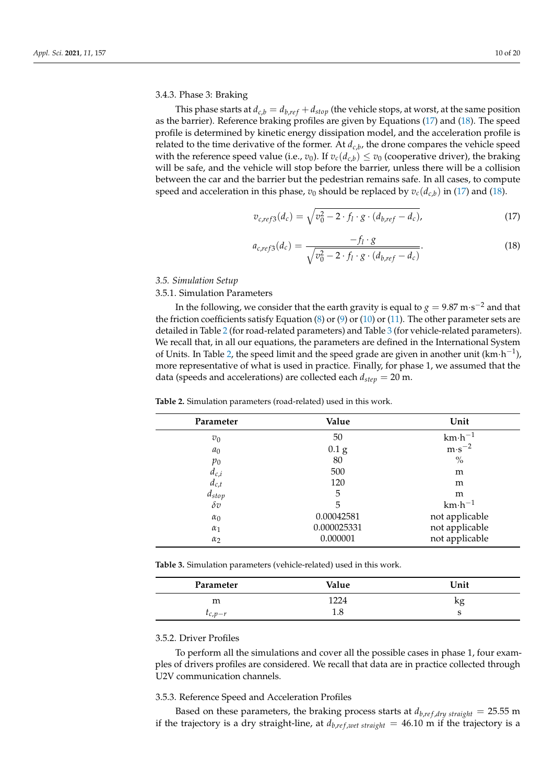3.4.3. Phase 3: Braking

This phase starts at  $d_{c,b} = d_{b,ref} + d_{stop}$  (the vehicle stops, at worst, at the same position as the barrier). Reference braking profiles are given by Equations [\(17\)](#page-9-0) and [\(18\)](#page-9-1). The speed profile is determined by kinetic energy dissipation model, and the acceleration profile is related to the time derivative of the former. At *dc*,*<sup>b</sup>* , the drone compares the vehicle speed with the reference speed value (i.e.,  $v_0$ ). If  $v_c(d_{c,b}) \le v_0$  (cooperative driver), the braking will be safe, and the vehicle will stop before the barrier, unless there will be a collision between the car and the barrier but the pedestrian remains safe. In all cases, to compute speed and acceleration in this phase,  $v_0$  should be replaced by  $v_c(d_{c,b})$  in [\(17\)](#page-9-0) and [\(18\)](#page-9-1).

<span id="page-9-0"></span>
$$
v_{c,ref3}(d_c) = \sqrt{v_0^2 - 2 \cdot f_l \cdot g \cdot (d_{b,ref} - d_c)},
$$
\n(17)

<span id="page-9-1"></span>
$$
a_{c,ref3}(d_c) = \frac{-f_l \cdot g}{\sqrt{v_0^2 - 2 \cdot f_l \cdot g \cdot (d_{b,ref} - d_c)}}.
$$
(18)

*3.5. Simulation Setup*

3.5.1. Simulation Parameters

In the following, we consider that the earth gravity is equal to  $g = 9.87 \text{ m} \cdot \text{s}^{-2}$  and that the friction coefficients satisfy Equation [\(8\)](#page-6-2) or [\(9\)](#page-7-1) or [\(10\)](#page-7-2) or [\(11\)](#page-7-0). The other parameter sets are detailed in Table [2](#page-9-2) (for road-related parameters) and Table [3](#page-9-3) (for vehicle-related parameters). We recall that, in all our equations, the parameters are defined in the International System of Units. In Table [2,](#page-9-2) the speed limit and the speed grade are given in another unit  $(km \cdot h^{-1})$ , more representative of what is used in practice. Finally, for phase 1, we assumed that the data (speeds and accelerations) are collected each *dstep* = 20 m.

| Parameter                                                     | Value             | Unit              |  |  |
|---------------------------------------------------------------|-------------------|-------------------|--|--|
| $v_0$                                                         | 50                | $km \cdot h^{-1}$ |  |  |
| a <sub>0</sub>                                                | $0.1\,\mathrm{g}$ | $m·s^{-2}$        |  |  |
| $p_0$                                                         | 80                | $\frac{0}{0}$     |  |  |
| $\begin{array}{c} d_{c,i} \\ d_{c,t} \\ d_{stop} \end{array}$ | 500               | m                 |  |  |
|                                                               | 120               | m                 |  |  |
|                                                               | 5                 | m                 |  |  |
| $\delta v$                                                    | 5                 | $km \cdot h^{-1}$ |  |  |
| $\alpha_0$                                                    | 0.00042581        | not applicable    |  |  |
| $\alpha_1$                                                    | 0.000025331       | not applicable    |  |  |
| $\alpha_2$                                                    | 0.000001          | not applicable    |  |  |

<span id="page-9-2"></span>**Table 2.** Simulation parameters (road-related) used in this work.

<span id="page-9-3"></span>**Table 3.** Simulation parameters (vehicle-related) used in this work.

| Parameter       | Value | Unit |
|-----------------|-------|------|
| m               | 1224  | ^፡   |
| $\iota_{c,p-r}$ | ⊥.∪   | ◡    |

## 3.5.2. Driver Profiles

To perform all the simulations and cover all the possible cases in phase 1, four examples of drivers profiles are considered. We recall that data are in practice collected through U2V communication channels.

## 3.5.3. Reference Speed and Acceleration Profiles

Based on these parameters, the braking process starts at  $d_{b,ref, dry straight} = 25.55$  m if the trajectory is a dry straight-line, at  $d_{b,ref, wet straight} = 46.10$  m if the trajectory is a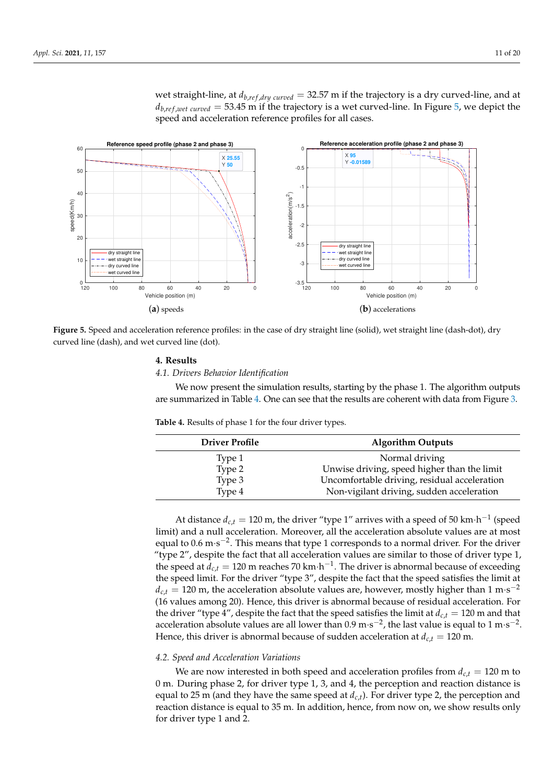wet straight-line, at  $d_{b,ref, drug}$   $_{curved}$  = 32.57 m if the trajectory is a dry curved-line, and at  $d_{b,ref,wet, curved} = 53.45$  m if the trajectory is a wet curved-line. In Figure [5,](#page-10-1) we depict the speed and acceleration reference profiles for all cases.

<span id="page-10-1"></span>

**Figure 5.** Speed and acceleration reference profiles: in the case of dry straight line (solid), wet straight line (dash-dot), dry curved line (dash), and wet curved line (dot).

# <span id="page-10-0"></span>**4. Results**

*4.1. Drivers Behavior Identification*

We now present the simulation results, starting by the phase 1. The algorithm outputs are summarized in Table [4.](#page-10-2) One can see that the results are coherent with data from Figure [3.](#page-6-0)

<span id="page-10-2"></span>**Table 4.** Results of phase 1 for the four driver types.

| <b>Driver Profile</b> | <b>Algorithm Outputs</b>                     |
|-----------------------|----------------------------------------------|
| Type 1                | Normal driving                               |
| Type 2                | Unwise driving, speed higher than the limit  |
| Type 3                | Uncomfortable driving, residual acceleration |
| Type 4                | Non-vigilant driving, sudden acceleration    |

At distance  $d_{c,t} = 120$  m, the driver "type  $1$ " arrives with a speed of 50 km·h<sup>-1</sup> (speed limit) and a null acceleration. Moreover, all the acceleration absolute values are at most equal to  $0.6 \text{ m} \cdot \text{s}^{-2}$ . This means that type 1 corresponds to a normal driver. For the driver "type 2", despite the fact that all acceleration values are similar to those of driver type 1, the speed at  $d_{c,t} = 120$  m reaches 70 km·h<sup>-1</sup>. The driver is abnormal because of exceeding the speed limit. For the driver "type 3", despite the fact that the speed satisfies the limit at  $d_{c,t} = 120$  m, the acceleration absolute values are, however, mostly higher than 1 m·s<sup>-2</sup> (16 values among 20). Hence, this driver is abnormal because of residual acceleration. For the driver "type 4", despite the fact that the speed satisfies the limit at  $d_{c,t} = 120$  m and that acceleration absolute values are all lower than  $0.9 \text{ m} \cdot \text{s}^{-2}$ , the last value is equal to 1 m $\cdot \text{s}^{-2}$ . Hence, this driver is abnormal because of sudden acceleration at  $d_{c,t} = 120$  m.

## *4.2. Speed and Acceleration Variations*

We are now interested in both speed and acceleration profiles from  $d_{c,t} = 120$  m to 0 m. During phase 2, for driver type 1, 3, and 4, the perception and reaction distance is equal to 25 m (and they have the same speed at  $d_{c,t}$ ). For driver type 2, the perception and reaction distance is equal to 35 m. In addition, hence, from now on, we show results only for driver type 1 and 2.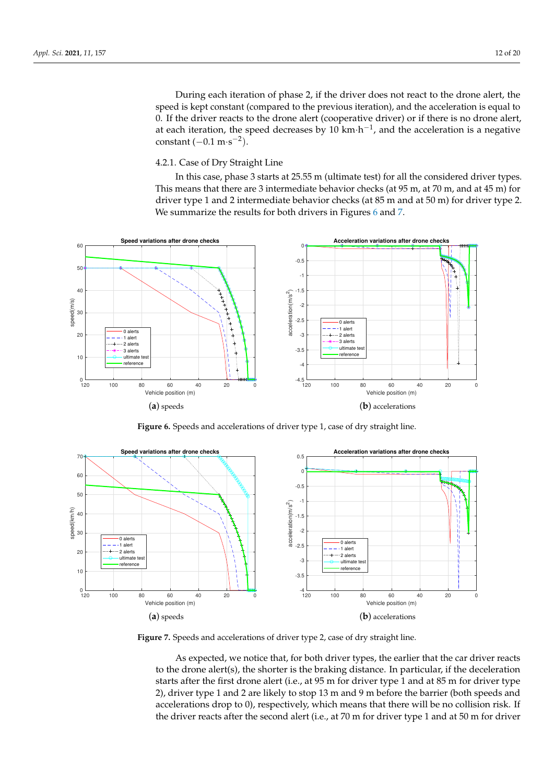During each iteration of phase 2, if the driver does not react to the drone alert, the speed is kept constant (compared to the previous iteration), and the acceleration is equal to 0. If the driver reacts to the drone alert (cooperative driver) or if there is no drone alert, at each iteration, the speed decreases by 10  $km \cdot h^{-1}$ , and the acceleration is a negative constant  $(-0.1 \text{ m} \cdot \text{s}^{-2})$ .

# 4.2.1. Case of Dry Straight Line

In this case, phase 3 starts at 25.55 m (ultimate test) for all the considered driver types. This means that there are 3 intermediate behavior checks (at 95 m, at 70 m, and at 45 m) for driver type 1 and 2 intermediate behavior checks (at 85 m and at 50 m) for driver type 2. We summarize the results for both drivers in Figures [6](#page-11-0) and [7.](#page-11-1)

<span id="page-11-0"></span>

**Figure 6.** Speeds and accelerations of driver type 1, case of dry straight line.

<span id="page-11-1"></span>

**Figure 7.** Speeds and accelerations of driver type 2, case of dry straight line.

As expected, we notice that, for both driver types, the earlier that the car driver reacts to the drone alert(s), the shorter is the braking distance. In particular, if the deceleration starts after the first drone alert (i.e., at 95 m for driver type 1 and at 85 m for driver type 2), driver type 1 and 2 are likely to stop 13 m and 9 m before the barrier (both speeds and accelerations drop to 0), respectively, which means that there will be no collision risk. If the driver reacts after the second alert (i.e., at 70 m for driver type 1 and at 50 m for driver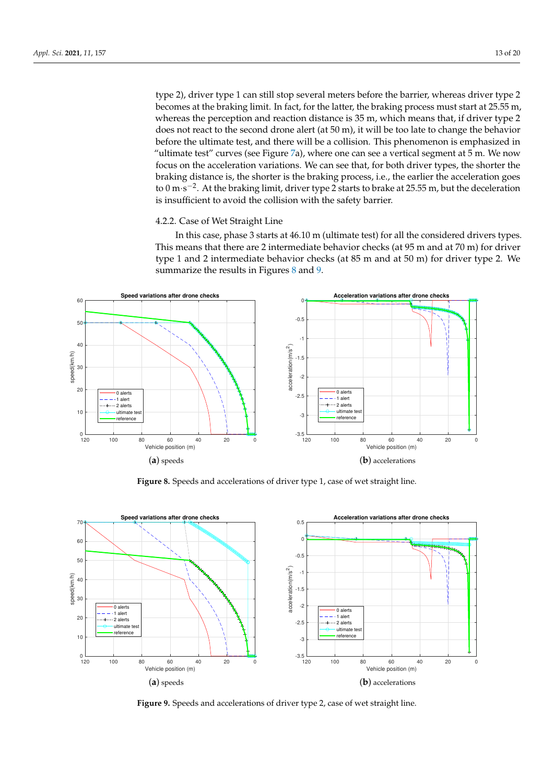type 2), driver type 1 can still stop several meters before the barrier, whereas driver type 2 becomes at the braking limit. In fact, for the latter, the braking process must start at 25.55 m, whereas the perception and reaction distance is 35 m, which means that, if driver type 2 does not react to the second drone alert (at 50 m), it will be too late to change the behavior before the ultimate test, and there will be a collision. This phenomenon is emphasized in "ultimate test" curves (see Figure [7a](#page-11-1)), where one can see a vertical segment at  $5$  m. We now focus on the acceleration variations. We can see that, for both driver types, the shorter the braking distance is, the shorter is the braking process, i.e., the earlier the acceleration goes to 0 m⋅s<sup>-2</sup>. At the braking limit, driver type 2 starts to brake at 25.55 m, but the deceleration is insufficient to avoid the collision with the safety barrier.

### 4.2.2. Case of Wet Straight Line

In this case, phase 3 starts at 46.10 m (ultimate test) for all the considered drivers types. This means that there are 2 intermediate behavior checks (at 95 m and at 70 m) for driver type 1 and 2 intermediate behavior checks (at 85 m and at 50 m) for driver type 2. We summarize the results in Figures [8](#page-12-0) and [9.](#page-12-1)

<span id="page-12-0"></span>

**Figure 8.** Speeds and accelerations of driver type 1, case of wet straight line.

<span id="page-12-1"></span>

**Figure 9.** Speeds and accelerations of driver type 2, case of wet straight line.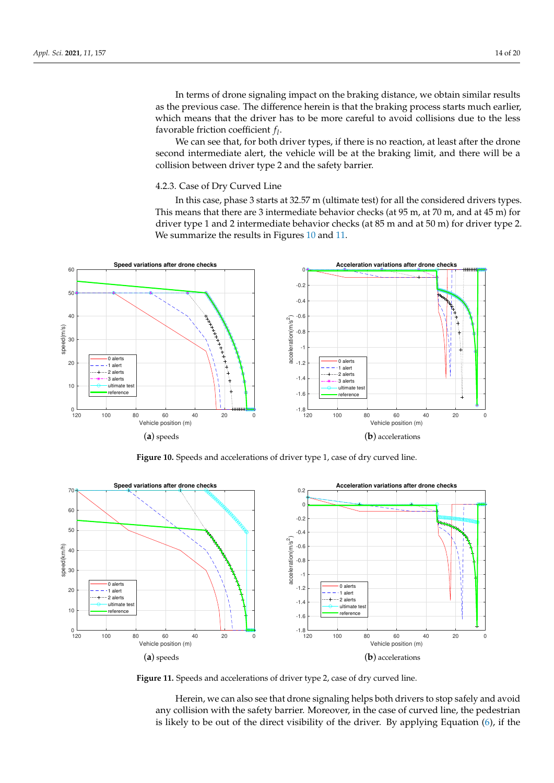In terms of drone signaling impact on the braking distance, we obtain similar results as the previous case. The difference herein is that the braking process starts much earlier, which means that the driver has to be more careful to avoid collisions due to the less favorable friction coefficient *f l* .

We can see that, for both driver types, if there is no reaction, at least after the drone second intermediate alert, the vehicle will be at the braking limit, and there will be a collision between driver type 2 and the safety barrier.

## 4.2.3. Case of Dry Curved Line

In this case, phase 3 starts at 32.57 m (ultimate test) for all the considered drivers types. This means that there are 3 intermediate behavior checks (at 95 m, at 70 m, and at 45 m) for driver type 1 and 2 intermediate behavior checks (at 85 m and at 50 m) for driver type 2. We summarize the results in Figures [10](#page-13-0) and [11.](#page-13-1)

<span id="page-13-0"></span>

**Figure 10.** Speeds and accelerations of driver type 1, case of dry curved line.

<span id="page-13-1"></span>

**Figure 11.** Speeds and accelerations of driver type 2, case of dry curved line.

Herein, we can also see that drone signaling helps both drivers to stop safely and avoid any collision with the safety barrier. Moreover, in the case of curved line, the pedestrian is likely to be out of the direct visibility of the driver. By applying Equation [\(6\)](#page-4-6), if the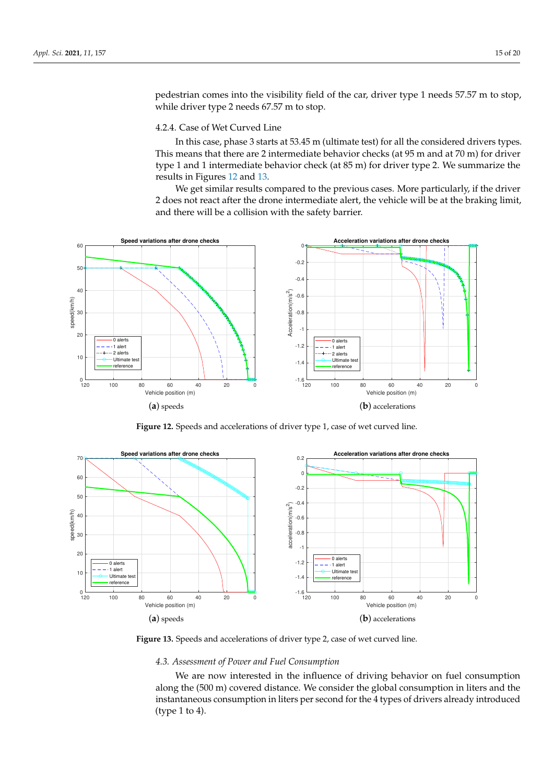pedestrian comes into the visibility field of the car, driver type 1 needs 57.57 m to stop, while driver type 2 needs 67.57 m to stop.

## 4.2.4. Case of Wet Curved Line

In this case, phase 3 starts at 53.45 m (ultimate test) for all the considered drivers types. This means that there are 2 intermediate behavior checks (at 95 m and at 70 m) for driver type 1 and 1 intermediate behavior check (at 85 m) for driver type 2. We summarize the results in Figures [12](#page-14-0) and [13.](#page-14-1)

We get similar results compared to the previous cases. More particularly, if the driver 2 does not react after the drone intermediate alert, the vehicle will be at the braking limit, and there will be a collision with the safety barrier.

<span id="page-14-0"></span>

**Figure 12.** Speeds and accelerations of driver type 1, case of wet curved line.

<span id="page-14-1"></span>

**Figure 13.** Speeds and accelerations of driver type 2, case of wet curved line.

## *4.3. Assessment of Power and Fuel Consumption*

We are now interested in the influence of driving behavior on fuel consumption along the (500 m) covered distance. We consider the global consumption in liters and the instantaneous consumption in liters per second for the 4 types of drivers already introduced (type 1 to 4).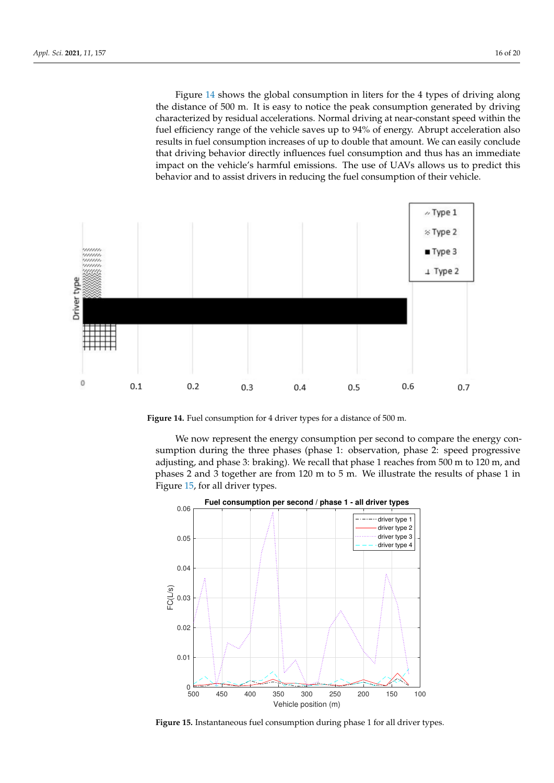Figure [14](#page-15-0) shows the global consumption in liters for the 4 types of driving along the distance of 500 m. It is easy to notice the peak consumption generated by driving characterized by residual accelerations. Normal driving at near-constant speed within the fuel efficiency range of the vehicle saves up to 94% of energy. Abrupt acceleration also results in fuel consumption increases of up to double that amount. We can easily conclude that driving behavior directly influences fuel consumption and thus has an immediate impact on the vehicle's harmful emissions. The use of UAVs allows us to predict this behavior and to assist drivers in reducing the fuel consumption of their vehicle.

<span id="page-15-0"></span>

**Figure 14.** Fuel consumption for 4 driver types for a distance of 500 m.

We now represent the energy consumption per second to compare the energy consumption during the three phases (phase 1: observation, phase 2: speed progressive adjusting, and phase 3: braking). We recall that phase 1 reaches from 500 m to 120 m, and phases 2 and 3 together are from 120 m to 5 m. We illustrate the results of phase 1 in Figure [15,](#page-15-1) for all driver types.

<span id="page-15-1"></span>

**Figure 15.** Instantaneous fuel consumption during phase 1 for all driver types.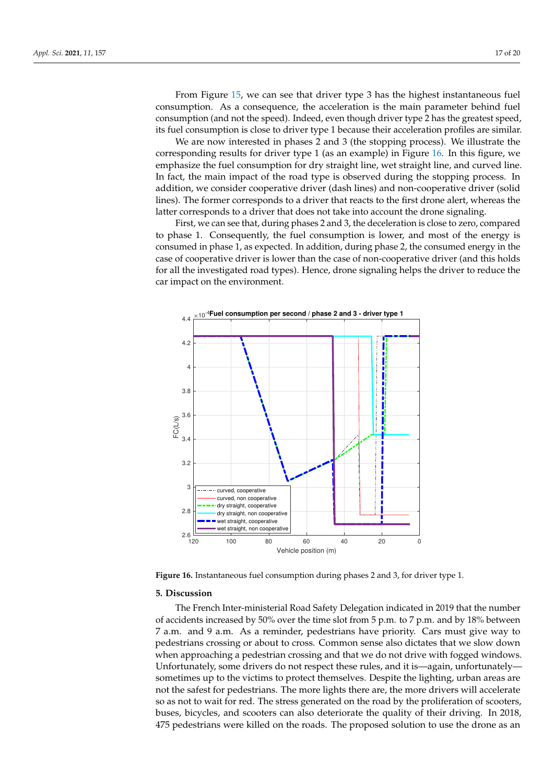From Figure [15,](#page-15-1) we can see that driver type 3 has the highest instantaneous fuel consumption. As a consequence, the acceleration is the main parameter behind fuel consumption (and not the speed). Indeed, even though driver type 2 has the greatest speed, its fuel consumption is close to driver type 1 because their acceleration profiles are similar.

We are now interested in phases 2 and 3 (the stopping process). We illustrate the corresponding results for driver type 1 (as an example) in Figure [16.](#page-16-1) In this figure, we emphasize the fuel consumption for dry straight line, wet straight line, and curved line. In fact, the main impact of the road type is observed during the stopping process. In addition, we consider cooperative driver (dash lines) and non-cooperative driver (solid lines). The former corresponds to a driver that reacts to the first drone alert, whereas the latter corresponds to a driver that does not take into account the drone signaling.

First, we can see that, during phases 2 and 3, the deceleration is close to zero, compared to phase 1. Consequently, the fuel consumption is lower, and most of the energy is consumed in phase 1, as expected. In addition, during phase 2, the consumed energy in the case of cooperative driver is lower than the case of non-cooperative driver (and this holds for all the investigated road types). Hence, drone signaling helps the driver to reduce the car impact on the environment.

<span id="page-16-1"></span>

**Figure 16.** Instantaneous fuel consumption during phases 2 and 3, for driver type 1.

## <span id="page-16-0"></span>**5. Discussion**

The French Inter-ministerial Road Safety Delegation indicated in 2019 that the number of accidents increased by 50% over the time slot from 5 p.m. to 7 p.m. and by 18% between 7 a.m. and 9 a.m. As a reminder, pedestrians have priority. Cars must give way to pedestrians crossing or about to cross. Common sense also dictates that we slow down when approaching a pedestrian crossing and that we do not drive with fogged windows. Unfortunately, some drivers do not respect these rules, and it is—again, unfortunately sometimes up to the victims to protect themselves. Despite the lighting, urban areas are not the safest for pedestrians. The more lights there are, the more drivers will accelerate so as not to wait for red. The stress generated on the road by the proliferation of scooters, buses, bicycles, and scooters can also deteriorate the quality of their driving. In 2018, 475 pedestrians were killed on the roads. The proposed solution to use the drone as an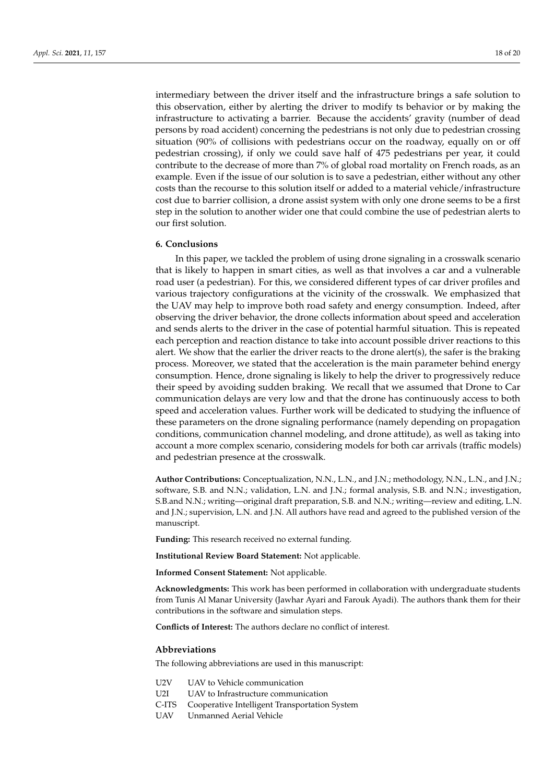intermediary between the driver itself and the infrastructure brings a safe solution to this observation, either by alerting the driver to modify ts behavior or by making the infrastructure to activating a barrier. Because the accidents' gravity (number of dead persons by road accident) concerning the pedestrians is not only due to pedestrian crossing situation (90% of collisions with pedestrians occur on the roadway, equally on or off pedestrian crossing), if only we could save half of 475 pedestrians per year, it could contribute to the decrease of more than 7% of global road mortality on French roads, as an example. Even if the issue of our solution is to save a pedestrian, either without any other costs than the recourse to this solution itself or added to a material vehicle/infrastructure cost due to barrier collision, a drone assist system with only one drone seems to be a first step in the solution to another wider one that could combine the use of pedestrian alerts to our first solution.

#### <span id="page-17-0"></span>**6. Conclusions**

In this paper, we tackled the problem of using drone signaling in a crosswalk scenario that is likely to happen in smart cities, as well as that involves a car and a vulnerable road user (a pedestrian). For this, we considered different types of car driver profiles and various trajectory configurations at the vicinity of the crosswalk. We emphasized that the UAV may help to improve both road safety and energy consumption. Indeed, after observing the driver behavior, the drone collects information about speed and acceleration and sends alerts to the driver in the case of potential harmful situation. This is repeated each perception and reaction distance to take into account possible driver reactions to this alert. We show that the earlier the driver reacts to the drone alert(s), the safer is the braking process. Moreover, we stated that the acceleration is the main parameter behind energy consumption. Hence, drone signaling is likely to help the driver to progressively reduce their speed by avoiding sudden braking. We recall that we assumed that Drone to Car communication delays are very low and that the drone has continuously access to both speed and acceleration values. Further work will be dedicated to studying the influence of these parameters on the drone signaling performance (namely depending on propagation conditions, communication channel modeling, and drone attitude), as well as taking into account a more complex scenario, considering models for both car arrivals (traffic models) and pedestrian presence at the crosswalk.

**Author Contributions:** Conceptualization, N.N., L.N., and J.N.; methodology, N.N., L.N., and J.N.; software, S.B. and N.N.; validation, L.N. and J.N.; formal analysis, S.B. and N.N.; investigation, S.B.and N.N.; writing—original draft preparation, S.B. and N.N.; writing—review and editing, L.N. and J.N.; supervision, L.N. and J.N. All authors have read and agreed to the published version of the manuscript.

**Funding:** This research received no external funding.

**Institutional Review Board Statement:** Not applicable.

**Informed Consent Statement:** Not applicable.

**Acknowledgments:** This work has been performed in collaboration with undergraduate students from Tunis Al Manar University (Jawhar Ayari and Farouk Ayadi). The authors thank them for their contributions in the software and simulation steps.

**Conflicts of Interest:** The authors declare no conflict of interest.

### **Abbreviations**

The following abbreviations are used in this manuscript:

- U2V UAV to Vehicle communication
- U2I UAV to Infrastructure communication
- C-ITS Cooperative Intelligent Transportation System
- UAV Unmanned Aerial Vehicle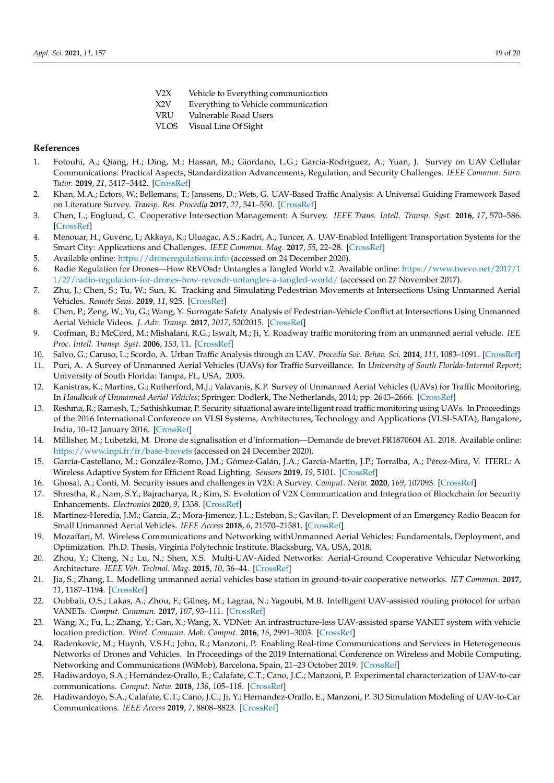- V2X Vehicle to Everything communication
- X2V Everything to Vehicle communication
- VRU Vulnerable Road Users
- VLOS Visual Line Of Sight

## **References**

- <span id="page-18-0"></span>1. Fotouhi, A.; Qiang, H.; Ding, M.; Hassan, M.; Giordano, L.G.; Garcia-Rodriguez, A.; Yuan, J. Survey on UAV Cellular Communications: Practical Aspects, Standardization Advancements, Regulation, and Security Challenges. *IEEE Commun. Surv. Tutor.* **2019**, *21*, 3417–3442. [\[CrossRef\]](http://dx.doi.org/10.1109/COMST.2019.2906228)
- <span id="page-18-1"></span>2. Khan, M.A.; Ectors, W.; Bellemans, T.; Janssens, D.; Wets, G. UAV-Based Traffic Analysis: A Universal Guiding Framework Based on Literature Survey. *Transp. Res. Procedia* **2017**, *22*, 541–550. [\[CrossRef\]](http://dx.doi.org/10.1016/j.trpro.2017.03.043)
- <span id="page-18-2"></span>3. Chen, L.; Englund, C. Cooperative Intersection Management: A Survey. *IEEE Trans. Intell. Transp. Syst.* **2016**, *17*, 570–586. [\[CrossRef\]](http://dx.doi.org/10.1109/TITS.2015.2471812)
- <span id="page-18-3"></span>4. Menouar, H.; Guvenc, I.; Akkaya, K.; Uluagac, A.S.; Kadri, A.; Tuncer, A. UAV-Enabled Intelligent Transportation Systems for the Smart City: Applications and Challenges. *IEEE Commun. Mag.* **2017**, *55*, 22–28. [\[CrossRef\]](http://dx.doi.org/10.1109/MCOM.2017.1600238CM)
- <span id="page-18-4"></span>5. Available online: <https://droneregulations.info> (accessed on 24 December 2020).
- <span id="page-18-5"></span>6. Radio Regulation for Drones—How REVOsdr Untangles a Tangled World v.2. Available online: [https://www.twevo.net/2017/1](https://www.twevo.net/2017/11/27/radio-regulation-for-drones-how-revosdr-untangles-a-tangled-world/) [1/27/radio-regulation-for-drones-how-revosdr-untangles-a-tangled-world/](https://www.twevo.net/2017/11/27/radio-regulation-for-drones-how-revosdr-untangles-a-tangled-world/) (accessed on 27 November 2017).
- <span id="page-18-6"></span>7. Zhu, J.; Chen, S.; Tu, W.; Sun, K. Tracking and Simulating Pedestrian Movements at Intersections Using Unmanned Aerial Vehicles. *Remote Sens.* **2019**, *11*, 925. [\[CrossRef\]](http://dx.doi.org/10.3390/rs11080925)
- <span id="page-18-7"></span>8. Chen, P.; Zeng, W.; Yu, G.; Wang, Y. Surrogate Safety Analysis of Pedestrian-Vehicle Conflict at Intersections Using Unmanned Aerial Vehicle Videos. *J. Adv. Transp.* **2017**, *2017*, 5202015. [\[CrossRef\]](http://dx.doi.org/10.1155/2017/5202150)
- <span id="page-18-8"></span>9. Coifman, B.; McCord, M.; Mishalani, R.G.; Iswalt, M.; Ji, Y. Roadway traffic monitoring from an unmanned aerial vehicle. *IEE Proc. Intell. Transp. Syst.* **2006**, *153*, 11. [\[CrossRef\]](http://dx.doi.org/10.1049/ip-its:20055014)
- <span id="page-18-9"></span>10. Salvo, G.; Caruso, L.; Scordo, A. Urban Traffic Analysis through an UAV. *Procedia Soc. Behav. Sci.* **2014**, *111*, 1083–1091. [\[CrossRef\]](http://dx.doi.org/10.1016/j.sbspro.2014.01.143)
- <span id="page-18-10"></span>11. Puri, A. A Survey of Unmanned Aerial Vehicles (UAVs) for Traffic Surveillance. In *University of South Florida-Internal Report*; University of South Florida: Tampa, FL, USA, 2005.
- <span id="page-18-11"></span>12. Kanistras, K.; Martins, G.; Rutherford, M.J.; Valavanis, K.P. Survey of Unmanned Aerial Vehicles (UAVs) for Traffic Monitoring. In *Handbook of Unmanned Aerial Vehicles*; Springer: Dodlerk, The Netherlands, 2014; pp. 2643–2666. [\[CrossRef\]](http://dx.doi.org/10.1007/978-90-481-9707-1_122)
- <span id="page-18-12"></span>13. Reshma, R.; Ramesh, T.; Sathishkumar, P. Security situational aware intelligent road traffic monitoring using UAVs. In Proceedings of the 2016 International Conference on VLSI Systems, Architectures, Technology and Applications (VLSI-SATA), Bangalore, India, 10–12 January 2016. [\[CrossRef\]](http://dx.doi.org/10.1109/vlsi-sata.2016.7593027)
- <span id="page-18-13"></span>14. Millisher, M.; Lubetzki, M. Drone de signalisation et d'information—Demande de brevet FR1870604 A1. 2018. Available online: <https://www.inpi.fr/fr/base-brevets> (accessed on 24 December 2020).
- <span id="page-18-14"></span>15. García-Castellano, M.; González-Romo, J.M.; Gómez-Galán, J.A.; García-Martín, J.P.; Torralba, A.; Pérez-Mira, V. ITERL: A Wireless Adaptive System for Efficient Road Lighting. *Sensors* **2019**, *19*, 5101. [\[CrossRef\]](http://dx.doi.org/10.3390/s19235101)
- <span id="page-18-15"></span>16. Ghosal, A.; Conti, M. Security issues and challenges in V2X: A Survey. *Comput. Netw.* **2020**, *169*, 107093. [\[CrossRef\]](http://dx.doi.org/10.1016/j.comnet.2019.107093)
- <span id="page-18-16"></span>17. Shrestha, R.; Nam, S.Y.; Bajracharya, R.; Kim, S. Evolution of V2X Communication and Integration of Blockchain for Security Enhancements. *Electronics* **2020**, *9*, 1338. [\[CrossRef\]](http://dx.doi.org/10.3390/electronics9091338)
- <span id="page-18-17"></span>18. Martinez-Heredia, J.M.; Garcia, Z.; Mora-Jimenez, J.L.; Esteban, S.; Gavilan, F. Development of an Emergency Radio Beacon for Small Unmanned Aerial Vehicles. *IEEE Access* **2018**, *6*, 21570–21581. [\[CrossRef\]](http://dx.doi.org/10.1109/ACCESS.2018.2826918)
- <span id="page-18-18"></span>19. Mozaffari, M. Wireless Communications and Networking withUnmanned Aerial Vehicles: Fundamentals, Deployment, and Optimization. Ph.D. Thesis, Virginia Polytechnic Institute, Blacksburg, VA, USA, 2018.
- <span id="page-18-19"></span>20. Zhou, Y.; Cheng, N.; Lu, N.; Shen, X.S. Multi-UAV-Aided Networks: Aerial-Ground Cooperative Vehicular Networking Architecture. *IEEE Veh. Technol. Mag.* **2015**, *10*, 36–44. [\[CrossRef\]](http://dx.doi.org/10.1109/MVT.2015.2481560)
- <span id="page-18-20"></span>21. Jia, S.; Zhang, L. Modelling unmanned aerial vehicles base station in ground-to-air cooperative networks. *IET Commun.* **2017**, *11*, 1187–1194. [\[CrossRef\]](http://dx.doi.org/10.1049/iet-com.2016.0808)
- <span id="page-18-21"></span>22. Oubbati, O.S.; Lakas, A.; Zhou, F.; Güneş, M.; Lagraa, N.; Yagoubi, M.B. Intelligent UAV-assisted routing protocol for urban VANETs. *Comput. Commun.* **2017**, *107*, 93–111. [\[CrossRef\]](http://dx.doi.org/10.1016/j.comcom.2017.04.001)
- <span id="page-18-22"></span>23. Wang, X.; Fu, L.; Zhang, Y.; Gan, X.; Wang, X. VDNet: An infrastructure-less UAV-assisted sparse VANET system with vehicle location prediction. *Wirel. Commun. Mob. Comput.* **2016**, *16*, 2991–3003. [\[CrossRef\]](http://dx.doi.org/10.1002/wcm.2727)
- <span id="page-18-23"></span>24. Radenkovic, M.; Huynh, V.S.H.; John, R.; Manzoni, P. Enabling Real-time Communications and Services in Heterogeneous Networks of Drones and Vehicles. In Proceedings of the 2019 International Conference on Wireless and Mobile Computing, Networking and Communications (WiMob), Barcelona, Spain, 21–23 October 2019. [\[CrossRef\]](http://dx.doi.org/10.1109/wimob.2019.8923246)
- <span id="page-18-24"></span>25. Hadiwardoyo, S.A.; Hernández-Orallo, E.; Calafate, C.T.; Cano, J.C.; Manzoni, P. Experimental characterization of UAV-to-car communications. *Comput. Netw.* **2018**, *136*, 105–118. [\[CrossRef\]](http://dx.doi.org/10.1016/j.comnet.2018.03.002)
- <span id="page-18-25"></span>26. Hadiwardoyo, S.A.; Calafate, C.T.; Cano, J.C.; Ji, Y.; Hernandez-Orallo, E.; Manzoni, P. 3D Simulation Modeling of UAV-to-Car Communications. *IEEE Access* **2019**, *7*, 8808–8823. [\[CrossRef\]](http://dx.doi.org/10.1109/ACCESS.2018.2889604)